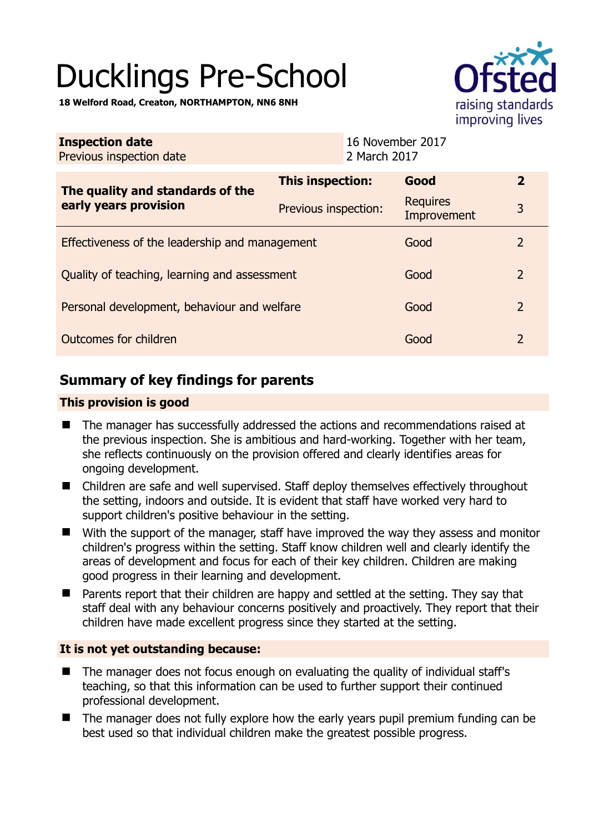# Ducklings Pre-School

**18 Welford Road, Creaton, NORTHAMPTON, NN6 8NH** 

| raising standards<br>improving lives |
|--------------------------------------|

| <b>Inspection date</b><br>Previous inspection date        | 16 November 2017<br>2 March 2017 |                                |                |
|-----------------------------------------------------------|----------------------------------|--------------------------------|----------------|
| The quality and standards of the<br>early years provision | This inspection:                 | Good                           | $\overline{2}$ |
|                                                           | Previous inspection:             | <b>Requires</b><br>Improvement | 3              |
| Effectiveness of the leadership and management            |                                  | Good                           | 2              |
| Quality of teaching, learning and assessment              |                                  | Good                           | 2              |
| Personal development, behaviour and welfare               |                                  | Good                           | $\overline{2}$ |
| Outcomes for children                                     |                                  | Good                           | 2              |

# **Summary of key findings for parents**

## **This provision is good**

- The manager has successfully addressed the actions and recommendations raised at the previous inspection. She is ambitious and hard-working. Together with her team, she reflects continuously on the provision offered and clearly identifies areas for ongoing development.
- Children are safe and well supervised. Staff deploy themselves effectively throughout the setting, indoors and outside. It is evident that staff have worked very hard to support children's positive behaviour in the setting.
- With the support of the manager, staff have improved the way they assess and monitor children's progress within the setting. Staff know children well and clearly identify the areas of development and focus for each of their key children. Children are making good progress in their learning and development.
- Parents report that their children are happy and settled at the setting. They say that staff deal with any behaviour concerns positively and proactively. They report that their children have made excellent progress since they started at the setting.

## **It is not yet outstanding because:**

- The manager does not focus enough on evaluating the quality of individual staff's teaching, so that this information can be used to further support their continued professional development.
- The manager does not fully explore how the early years pupil premium funding can be best used so that individual children make the greatest possible progress.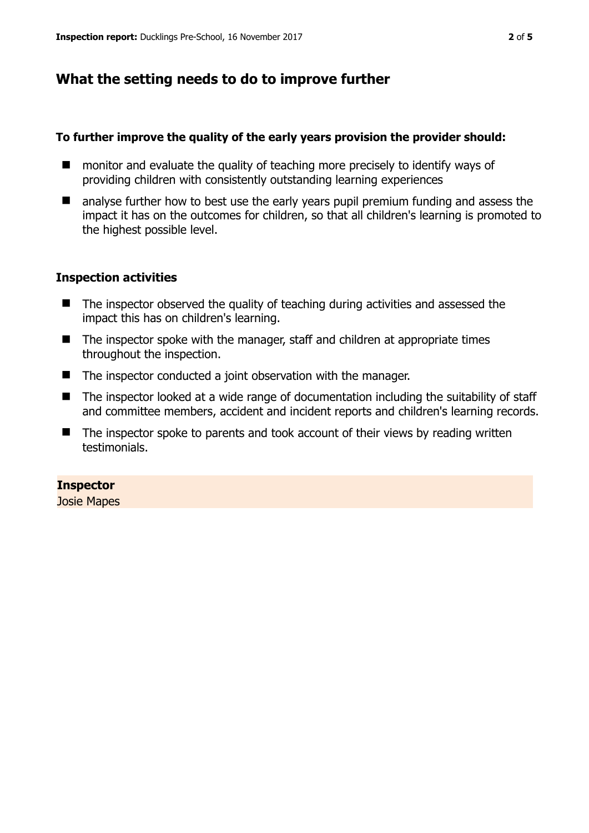# **What the setting needs to do to improve further**

### **To further improve the quality of the early years provision the provider should:**

- monitor and evaluate the quality of teaching more precisely to identify ways of providing children with consistently outstanding learning experiences
- **E** analyse further how to best use the early vears pupil premium funding and assess the impact it has on the outcomes for children, so that all children's learning is promoted to the highest possible level.

#### **Inspection activities**

- The inspector observed the quality of teaching during activities and assessed the impact this has on children's learning.
- The inspector spoke with the manager, staff and children at appropriate times throughout the inspection.
- The inspector conducted a joint observation with the manager.
- The inspector looked at a wide range of documentation including the suitability of staff and committee members, accident and incident reports and children's learning records.
- $\blacksquare$  The inspector spoke to parents and took account of their views by reading written testimonials.

## **Inspector**

Josie Mapes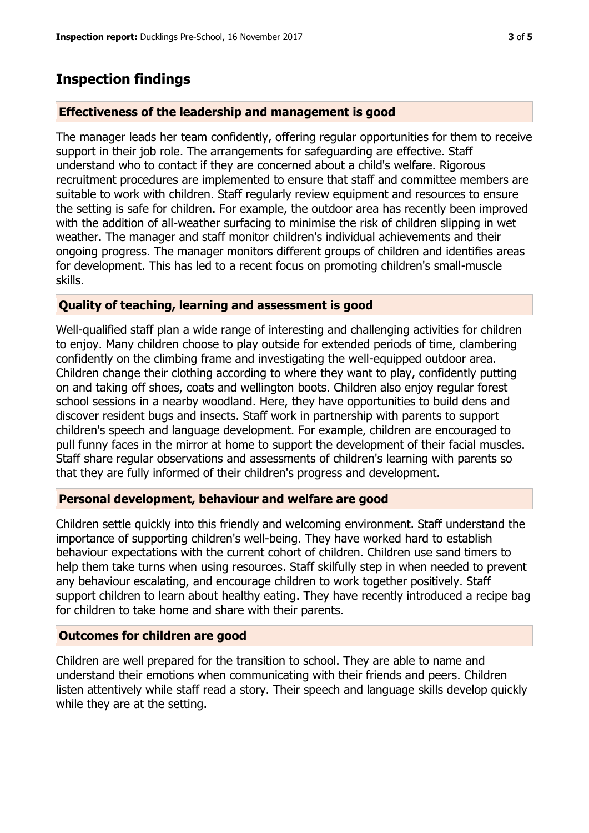## **Inspection findings**

#### **Effectiveness of the leadership and management is good**

The manager leads her team confidently, offering regular opportunities for them to receive support in their job role. The arrangements for safeguarding are effective. Staff understand who to contact if they are concerned about a child's welfare. Rigorous recruitment procedures are implemented to ensure that staff and committee members are suitable to work with children. Staff regularly review equipment and resources to ensure the setting is safe for children. For example, the outdoor area has recently been improved with the addition of all-weather surfacing to minimise the risk of children slipping in wet weather. The manager and staff monitor children's individual achievements and their ongoing progress. The manager monitors different groups of children and identifies areas for development. This has led to a recent focus on promoting children's small-muscle skills.

#### **Quality of teaching, learning and assessment is good**

Well-qualified staff plan a wide range of interesting and challenging activities for children to enjoy. Many children choose to play outside for extended periods of time, clambering confidently on the climbing frame and investigating the well-equipped outdoor area. Children change their clothing according to where they want to play, confidently putting on and taking off shoes, coats and wellington boots. Children also enjoy regular forest school sessions in a nearby woodland. Here, they have opportunities to build dens and discover resident bugs and insects. Staff work in partnership with parents to support children's speech and language development. For example, children are encouraged to pull funny faces in the mirror at home to support the development of their facial muscles. Staff share regular observations and assessments of children's learning with parents so that they are fully informed of their children's progress and development.

#### **Personal development, behaviour and welfare are good**

Children settle quickly into this friendly and welcoming environment. Staff understand the importance of supporting children's well-being. They have worked hard to establish behaviour expectations with the current cohort of children. Children use sand timers to help them take turns when using resources. Staff skilfully step in when needed to prevent any behaviour escalating, and encourage children to work together positively. Staff support children to learn about healthy eating. They have recently introduced a recipe bag for children to take home and share with their parents.

#### **Outcomes for children are good**

Children are well prepared for the transition to school. They are able to name and understand their emotions when communicating with their friends and peers. Children listen attentively while staff read a story. Their speech and language skills develop quickly while they are at the setting.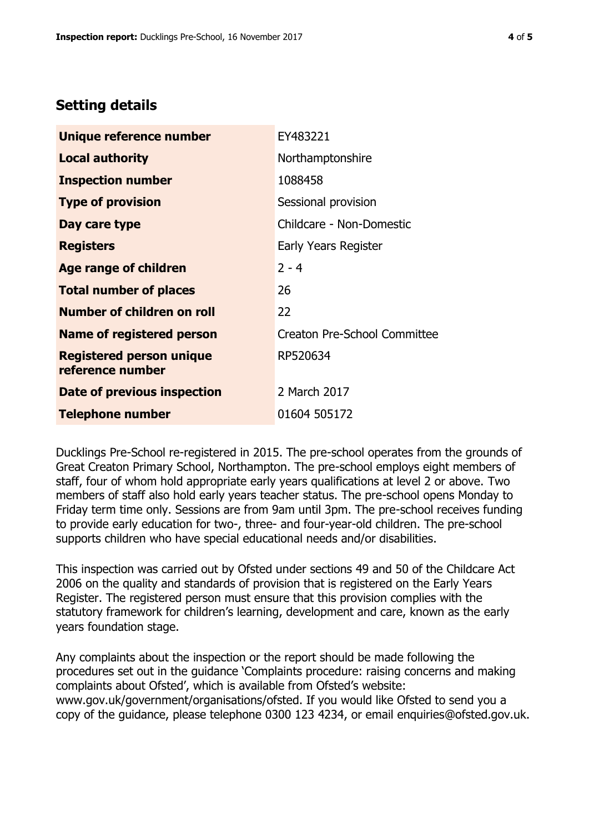# **Setting details**

| Unique reference number                             | EY483221                            |  |
|-----------------------------------------------------|-------------------------------------|--|
| Local authority                                     | Northamptonshire                    |  |
| <b>Inspection number</b>                            | 1088458                             |  |
| <b>Type of provision</b>                            | Sessional provision                 |  |
| Day care type                                       | Childcare - Non-Domestic            |  |
| <b>Registers</b>                                    | Early Years Register                |  |
| Age range of children                               | $2 - 4$                             |  |
| <b>Total number of places</b>                       | 26                                  |  |
| <b>Number of children on roll</b>                   | 22                                  |  |
| Name of registered person                           | <b>Creaton Pre-School Committee</b> |  |
| <b>Registered person unique</b><br>reference number | RP520634                            |  |
| Date of previous inspection                         | 2 March 2017                        |  |
| <b>Telephone number</b>                             | 01604 505172                        |  |

Ducklings Pre-School re-registered in 2015. The pre-school operates from the grounds of Great Creaton Primary School, Northampton. The pre-school employs eight members of staff, four of whom hold appropriate early years qualifications at level 2 or above. Two members of staff also hold early years teacher status. The pre-school opens Monday to Friday term time only. Sessions are from 9am until 3pm. The pre-school receives funding to provide early education for two-, three- and four-year-old children. The pre-school supports children who have special educational needs and/or disabilities.

This inspection was carried out by Ofsted under sections 49 and 50 of the Childcare Act 2006 on the quality and standards of provision that is registered on the Early Years Register. The registered person must ensure that this provision complies with the statutory framework for children's learning, development and care, known as the early years foundation stage.

Any complaints about the inspection or the report should be made following the procedures set out in the guidance 'Complaints procedure: raising concerns and making complaints about Ofsted', which is available from Ofsted's website: www.gov.uk/government/organisations/ofsted. If you would like Ofsted to send you a copy of the guidance, please telephone 0300 123 4234, or email enquiries@ofsted.gov.uk.